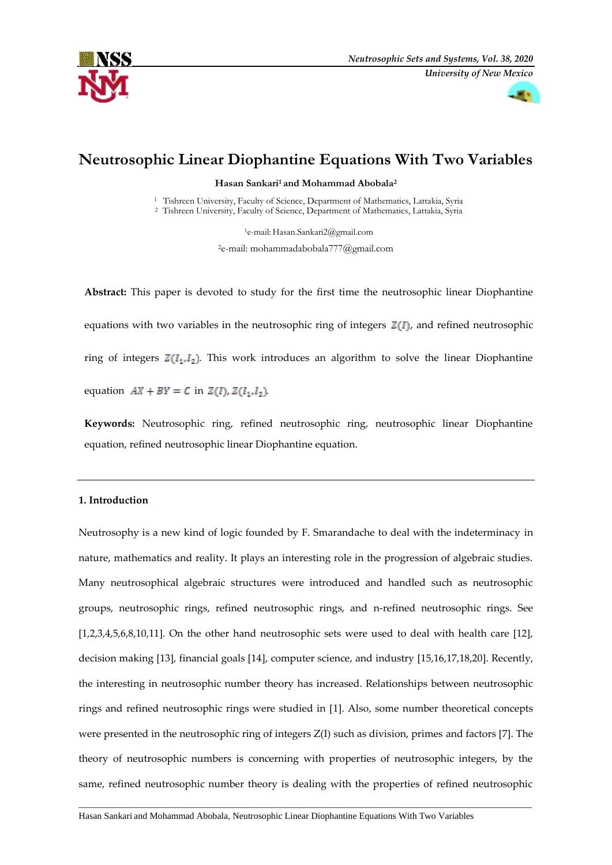



# **Neutrosophic Linear Diophantine Equations With Two Variables**

**Hasan Sankari<sup>1</sup> and Mohammad Abobala<sup>2</sup>**

<sup>1</sup> Tishreen University, Faculty of Science, Department of Mathematics, Lattakia, Syria <sup>2</sup>Tishreen University, Faculty of Science, Department of Mathematics, Lattakia, Syria

> <sup>1</sup>e-mail: Hasan.Sankari2@gmail.com <sup>2</sup>e-mail: mohammadabobala777@gmail.com

**Abstract:** This paper is devoted to study for the first time the neutrosophic linear Diophantine equations with two variables in the neutrosophic ring of integers  $Z(I)$ , and refined neutrosophic ring of integers  $Z(I_1,I_2)$ . This work introduces an algorithm to solve the linear Diophantine equation  $AX + BY = C$  in  $Z(I), Z(I_1, I_2)$ .

**Keywords:** Neutrosophic ring, refined neutrosophic ring, neutrosophic linear Diophantine equation, refined neutrosophic linear Diophantine equation.

# **1. Introduction**

Neutrosophy is a new kind of logic founded by F. Smarandache to deal with the indeterminacy in nature, mathematics and reality. It plays an interesting role in the progression of algebraic studies. Many neutrosophical algebraic structures were introduced and handled such as neutrosophic groups, neutrosophic rings, refined neutrosophic rings, and n-refined neutrosophic rings. See [1,2,3,4,5,6,8,10,11]. On the other hand neutrosophic sets were used to deal with health care [12], decision making [13], financial goals [14], computer science, and industry [15,16,17,18,20]. Recently, the interesting in neutrosophic number theory has increased. Relationships between neutrosophic rings and refined neutrosophic rings were studied in [1]. Also, some number theoretical concepts were presented in the neutrosophic ring of integers Z(I) such as division, primes and factors [7]. The theory of neutrosophic numbers is concerning with properties of neutrosophic integers, by the same, refined neutrosophic number theory is dealing with the properties of refined neutrosophic

 $\overline{a}$  , and the set of the set of the set of the set of the set of the set of the set of the set of the set of the set of the set of the set of the set of the set of the set of the set of the set of the set of the set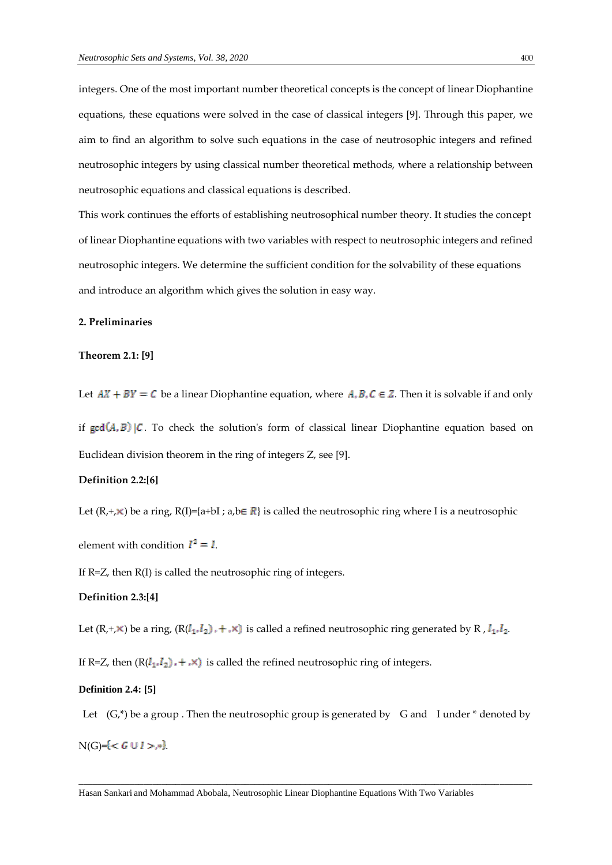integers. One of the most important number theoretical concepts is the concept of linear Diophantine equations, these equations were solved in the case of classical integers [9]. Through this paper, we aim to find an algorithm to solve such equations in the case of neutrosophic integers and refined neutrosophic integers by using classical number theoretical methods, where a relationship between neutrosophic equations and classical equations is described.

This work continues the efforts of establishing neutrosophical number theory. It studies the concept of linear Diophantine equations with two variables with respect to neutrosophic integers and refined neutrosophic integers. We determine the sufficient condition for the solvability of these equations and introduce an algorithm which gives the solution in easy way.

## **2. Preliminaries**

# **Theorem 2.1: [9]**

Let  $AX + BY = C$  be a linear Diophantine equation, where  $A, B, C \in \mathbb{Z}$ . Then it is solvable if and only

if  $gcd(A, B)$  |C. To check the solution's form of classical linear Diophantine equation based on Euclidean division theorem in the ring of integers Z, see [9].

# **Definition 2.2:[6]**

Let  $(R, +, \times)$  be a ring,  $R(I)=\{a+bI; a,b \in R\}$  is called the neutrosophic ring where I is a neutrosophic

element with condition  $I^2 = I$ .

If R=Z, then R(I) is called the neutrosophic ring of integers.

#### **Definition 2.3:[4]**

Let  $(R, +, \times)$  be a ring,  $(R(I_1, I_2), +, \times)$  is called a refined neutrosophic ring generated by R,  $I_1, I_2$ .

If R=Z, then  $(R(I_1, I_2)$ ,  $+$ , $\times$ ) is called the refined neutrosophic ring of integers.

## **Definition 2.4: [5]**

Let  $(G,*)$  be a group . Then the neutrosophic group is generated by G and I under  $*$  denoted by  $N(G) = { < G \cup I >,* }$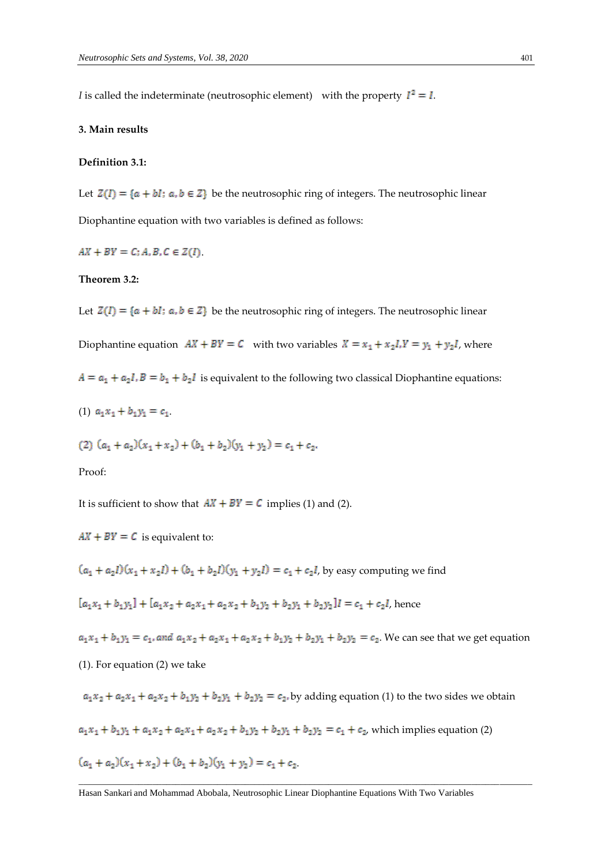*I* is called the indeterminate (neutrosophic element) with the property  $I^2 = I$ .

## **3. Main results**

## **Definition 3.1:**

Let  $Z(I) = \{a + bl : a, b \in Z\}$  be the neutrosophic ring of integers. The neutrosophic linear Diophantine equation with two variables is defined as follows:

 $AX + BY = C; A, B, C \in Z(I)$ .

## **Theorem 3.2:**

Let  $Z(I) = \{a + bl : a, b \in Z\}$  be the neutrosophic ring of integers. The neutrosophic linear

Diophantine equation  $AX + BY = C$  with two variables  $X = x_1 + x_2I$ ,  $Y = y_1 + y_2I$ , where

 $A = a_1 + a_2I$ ,  $B = b_1 + b_2I$  is equivalent to the following two classical Diophantine equations:

(1)  $a_1x_1 + b_1y_1 = c_1$ .

$$
(2) (a1 + a2)(x1 + x2) + (b1 + b2)(y1 + y2) = c1 + c2.
$$

## Proof:

It is sufficient to show that  $AX + BY = C$  implies (1) and (2).

 $AX + BY = C$  is equivalent to:

 $(a_1 + a_2 l)(x_1 + x_2 l) + (b_1 + b_2 l)(y_1 + y_2 l) = c_1 + c_2 l$ , by easy computing we find

 $[a_1x_1 + b_1y_1] + [a_1x_2 + a_2x_1 + a_2x_2 + b_1y_2 + b_2y_1 + b_2y_2]I = c_1 + c_2I$ , hence

 $a_1x_1 + b_1y_1 = c_1$ , and  $a_1x_2 + a_2x_1 + a_2x_2 + b_1y_2 + b_2y_1 + b_2y_2 = c_2$ . We can see that we get equation

(1). For equation (2) we take

 $a_1x_2 + a_2x_1 + a_2x_2 + b_1y_2 + b_2y_1 + b_2y_2 = c_2$ , by adding equation (1) to the two sides we obtain  $a_1x_1 + b_1y_1 + a_1x_2 + a_2x_1 + a_2x_2 + b_1y_2 + b_2y_1 + b_2y_2 = c_1 + c_2$ , which implies equation (2)  $(a_1 + a_2)(x_1 + x_2) + (b_1 + b_2)(y_1 + y_2) = c_1 + c_2$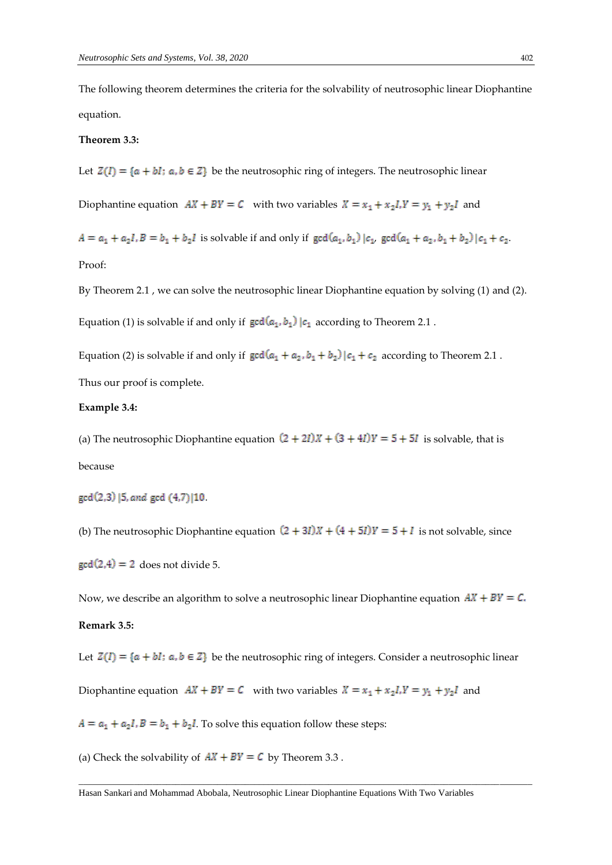The following theorem determines the criteria for the solvability of neutrosophic linear Diophantine equation.

## **Theorem 3.3:**

Let  $Z(I) = \{a + bl : a, b \in Z\}$  be the neutrosophic ring of integers. The neutrosophic linear

Diophantine equation  $AX + BY = C$  with two variables  $X = x_1 + x_2 I$ ,  $Y = y_1 + y_2 I$  and

 $A = a_1 + a_2I$ ,  $B = b_1 + b_2I$  is solvable if and only if  $gcd(a_1, b_1) | c_1$ ,  $gcd(a_1 + a_2, b_1 + b_2) | c_1 + c_2$ .

Proof:

By Theorem 2.1 , we can solve the neutrosophic linear Diophantine equation by solving (1) and (2).

Equation (1) is solvable if and only if  $gcd(a_1, b_1)$   $|c_1|$  according to Theorem 2.1.

Equation (2) is solvable if and only if  $gcd(a_1 + a_2, b_1 + b_2) | c_1 + c_2$  according to Theorem 2.1. Thus our proof is complete.

#### **Example 3.4:**

(a) The neutrosophic Diophantine equation  $(2 + 2I)X + (3 + 4I)Y = 5 + 5I$  is solvable, that is because

gcd(2,3) [5, and gcd (4,7) [10]

(b) The neutrosophic Diophantine equation  $(2 + 3I)X + (4 + 5I)Y = 5 + I$  is not solvable, since

 $gcd(2,4) = 2$  does not divide 5.

Now, we describe an algorithm to solve a neutrosophic linear Diophantine equation  $AX + BY = C$ . **Remark 3.5:**

Let  $Z(I) = \{a + bl : a, b \in Z\}$  be the neutrosophic ring of integers. Consider a neutrosophic linear

 $\overline{a}$  , and the state of the state of the state of the state of the state of the state of the state of the state of the state of the state of the state of the state of the state of the state of the state of the state o

Diophantine equation  $AX + BY = C$  with two variables  $X = x_1 + x_2I$ ,  $Y = y_1 + y_2I$  and

 $A = a_1 + a_2I$ ,  $B = b_1 + b_2I$ . To solve this equation follow these steps:

(a) Check the solvability of  $AX + BY = C$  by Theorem 3.3.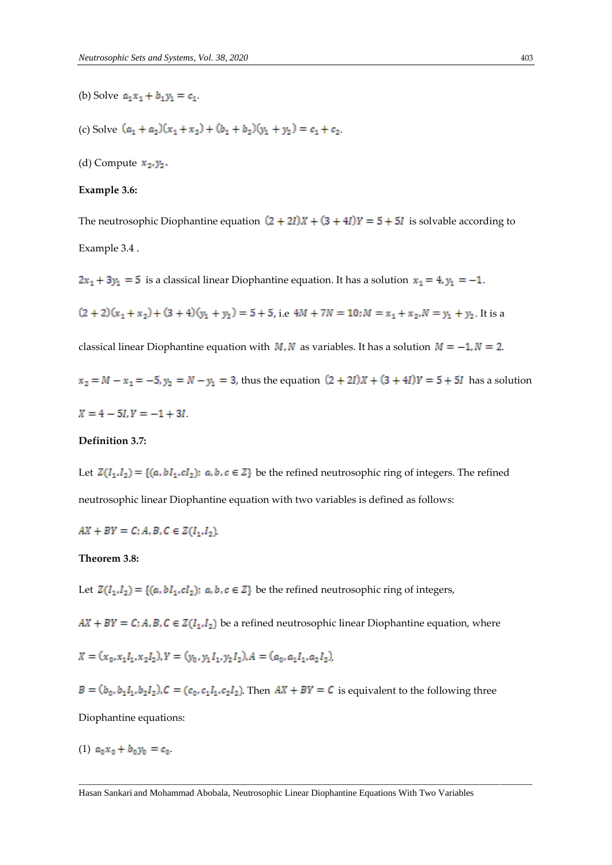- (b) Solve  $a_1x_1 + b_1y_1 = c_1$ .
- (c) Solve  $(a_1 + a_2)(x_1 + x_2) + (b_1 + b_2)(y_1 + y_2) = c_1 + c_2$
- (d) Compute  $x_2, y_2$ .

#### **Example 3.6:**

The neutrosophic Diophantine equation  $(2 + 2I)X + (3 + 4I)Y = 5 + 5I$  is solvable according to Example 3.4 .

 $2x_1 + 3y_1 = 5$  is a classical linear Diophantine equation. It has a solution  $x_1 = 4$ ,  $y_1 = -1$ .

 $(2 + 2)(x_1 + x_2) + (3 + 4)(y_1 + y_2) = 5 + 5$ , i.e  $4M + 7N = 10$ ;  $M = x_1 + x_2$ ,  $N = y_1 + y_2$ . It is a

classical linear Diophantine equation with  $M$ ,  $N$  as variables. It has a solution  $M = -1$ ,  $N = 2$ .

 $x_2 = M - x_1 = -5$ ,  $y_2 = N - y_1 = 3$ , thus the equation  $(2 + 2I)X + (3 + 4I)Y = 5 + 5I$  has a solution

$$
X = 4 - 5I, Y = -1 + 3I
$$

# **Definition 3.7:**

Let  $Z(I_1,I_2) = \{(a, bI_1, cI_2): a, b, c \in \mathbb{Z}\}\)$  be the refined neutrosophic ring of integers. The refined neutrosophic linear Diophantine equation with two variables is defined as follows:

 $AX + BY = C; A, B, C \in Z(I_1, I_2)$ 

# **Theorem 3.8:**

Let  $Z(I_1,I_2) = \{(a, bI_1, cI_2): a, b, c \in \mathbb{Z}\}\)$  be the refined neutrosophic ring of integers,

 $AX + BY = C$ ; A, B, C  $\in Z(I_1, I_2)$  be a refined neutrosophic linear Diophantine equation, where

 $X = (x_0, x_1I_1, x_2I_2), Y = (y_0, y_1I_1, y_2I_2), A = (a_0, a_1I_1, a_2I_2),$ 

 $B = (b_0, b_1, a_1, b_2, a_2), C = (c_0, c_1, a_1, c_2, a_2)$  Then  $AX + BY = C$  is equivalent to the following three

Diophantine equations:

(1)  $a_0x_0 + b_0y_0 = c_0$ .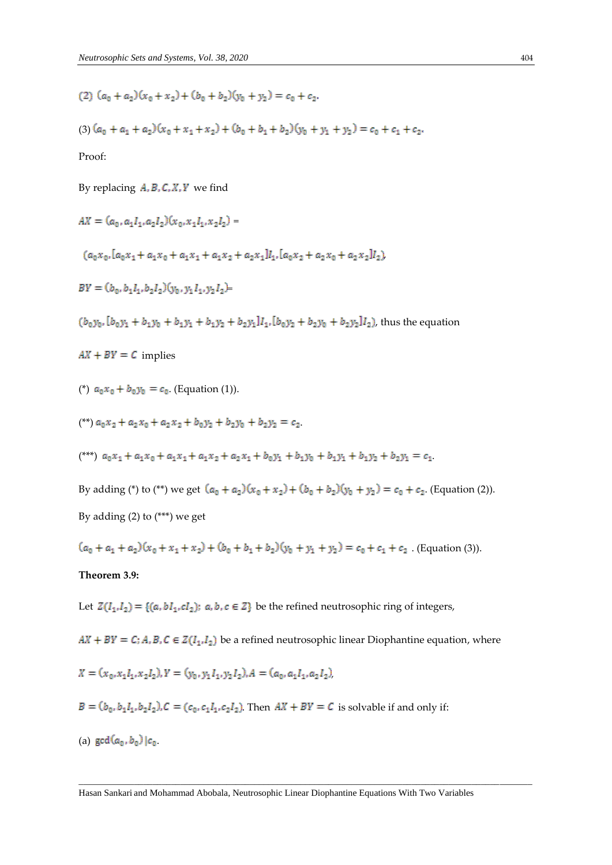(2) 
$$
(a_0 + a_2)(x_0 + x_2) + (b_0 + b_2)(y_0 + y_2) = c_0 + c_2
$$
.

$$
(3) (a_0 + a_1 + a_2)(x_0 + x_1 + x_2) + (b_0 + b_1 + b_2)(y_0 + y_1 + y_2) = c_0 + c_1 + c_2.
$$

Proof:

By replacing  $A, B, C, X, Y$  we find

$$
AX = (a_0, a_1I_1, a_2I_2)(x_0, x_1I_1, x_2I_2) =
$$

$$
(a_0x_0,[a_0x_1+a_1x_0+a_1x_1+a_1x_2+a_2x_1]l_1,[a_0x_2+a_2x_0+a_2x_2]l_2)
$$

$$
BY = (b_0, b_1l_1, b_2l_2)(y_0, y_1l_1, y_2l_2) =
$$

 $(b_0y_0, [b_0y_1 + b_1y_0 + b_1y_1 + b_1y_2 + b_2y_1]I_1, [b_0y_2 + b_2y_0 + b_2y_2]I_2$ , thus the equation

 $AX + BY = C$  implies

<sup>(\*)</sup> 
$$
a_0 x_0 + b_0 y_0 = c_0
$$
. (Equation (1)).

$$
^{(*)}a_0x_2 + a_2x_0 + a_2x_2 + b_0y_2 + b_2y_0 + b_2y_2 = c_2
$$

(\*\*\*)  $a_0x_1 + a_1x_0 + a_1x_1 + a_1x_2 + a_2x_1 + b_0y_1 + b_1y_0 + b_1y_1 + b_1y_2 + b_2y_1 = c_1$ 

By adding (\*) to (\*\*) we get  $(a_0 + a_2)(x_0 + x_2) + (b_0 + b_2)(y_0 + y_2) = c_0 + c_2$ . (Equation (2)). By adding (2) to (\*\*\*) we get

 $(a_0 + a_1 + a_2)(x_0 + x_1 + x_2) + (b_0 + b_1 + b_2)(y_0 + y_1 + y_2) = c_0 + c_1 + c_2$ . (Equation (3)).

# **Theorem 3.9:**

Let  $Z(I_1,I_2) = \{(a, bI_1, cI_2): a, b, c \in \mathbb{Z}\}\)$  be the refined neutrosophic ring of integers,

 $AX + BY = C$ ; A, B, C  $\in Z(I_1, I_2)$  be a refined neutrosophic linear Diophantine equation, where

$$
X = (x_0, x_1I_1, x_2I_2), Y = (y_0, y_1I_1, y_2I_2), A = (a_0, a_1I_1, a_2I_2)
$$

 $B = (b_0, b_1I_1, b_2I_2), C = (c_0, c_1I_1, c_2I_2)$ . Then  $AX + BY = C$  is solvable if and only if:

(a)  $gcd(a_0, b_0) | c_0$ .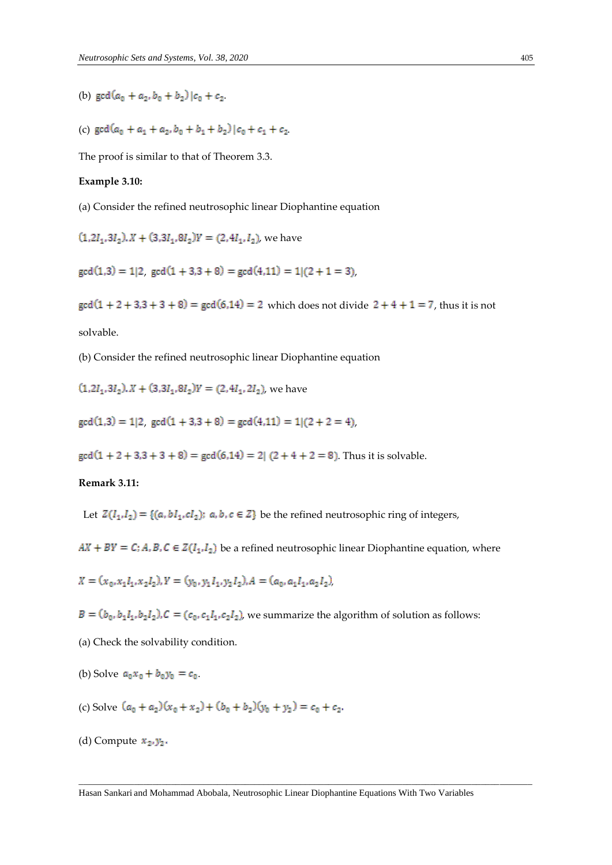(b)  $\gcd(a_0 + a_2, b_0 + b_2) | c_0 + c_2$ .

(c)  $\gcd(a_0 + a_1 + a_2, b_0 + b_1 + b_2) | c_0 + c_1 + c_2$ 

The proof is similar to that of Theorem 3.3.

#### **Example 3.10:**

(a) Consider the refined neutrosophic linear Diophantine equation

 $(1, 2I_1, 3I_2)$ ,  $X + (3, 3I_1, 8I_2)Y = (2, 4I_1, I_2)$ , we have

 $gcd(1,3) = 1|2$ ,  $gcd(1 + 3,3 + 8) = gcd(4,11) = 1|(2 + 1 = 3)$ ,

 $gcd(1 + 2 + 3, 3 + 3 + 8) = gcd(6, 14) = 2$  which does not divide  $2 + 4 + 1 = 7$ , thus it is not solvable.

(b) Consider the refined neutrosophic linear Diophantine equation

 $(1, 2I_1, 3I_2)$ ,  $X + (3, 3I_1, 8I_2)Y = (2, 4I_1, 2I_2)$ , we have

 $gcd(1,3) = 1|2$ ,  $gcd(1 + 3,3 + 8) = gcd(4,11) = 1|(2 + 2 = 4)$ ,

 $gcd(1 + 2 + 3, 3 + 3 + 8) = gcd(6, 14) = 2[(2 + 4 + 2 = 8)]$ . Thus it is solvable.

## **Remark 3.11:**

Let  $Z(I_1,I_2) = \{(a, bI_1, cI_2): a, b, c \in Z\}$  be the refined neutrosophic ring of integers,

 $AX + BY = C$ ; A, B, C  $\in Z(I_1, I_2)$  be a refined neutrosophic linear Diophantine equation, where

 $X = (x_0, x_1I_1, x_2I_2), Y = (y_0, y_1I_1, y_2I_2), A = (a_0, a_1I_1, a_2I_2),$ 

 $B=(b_0,b_1I_1,b_2I_2), C=(c_0,c_1I_1,c_2I_2)$ , we summarize the algorithm of solution as follows:

(a) Check the solvability condition.

- (b) Solve  $a_0x_0 + b_0y_0 = c_0$ .
- (c) Solve  $(a_0 + a_2)(x_0 + x_2) + (b_0 + b_2)(y_0 + y_2) = c_0 + c_2$ .
- (d) Compute  $x_2, y_2$ .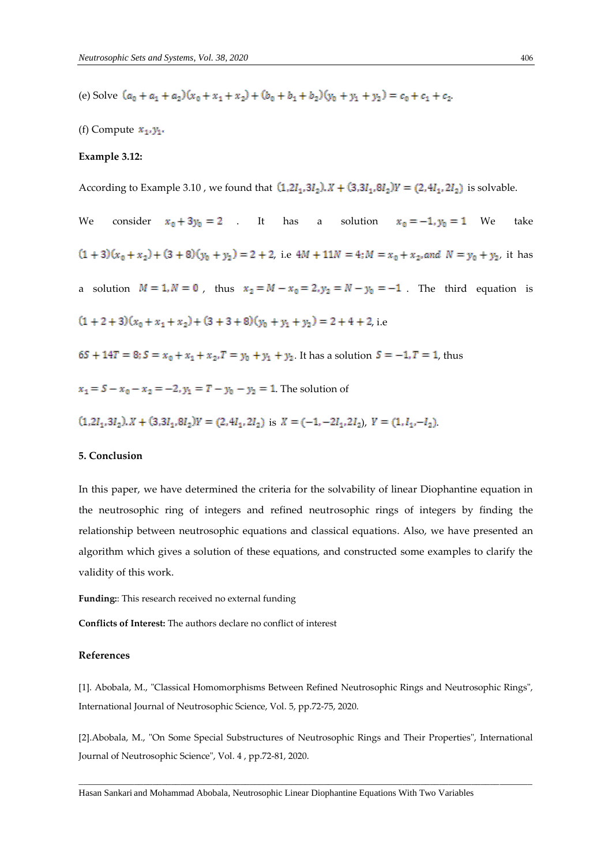(e) Solve  $(a_0 + a_1 + a_2)(x_0 + x_1 + x_2) + (b_0 + b_1 + b_2)(y_0 + y_1 + y_2) = c_0 + c_1 + c_2$ 

(f) Compute  $x_1, y_1$ .

# **Example 3.12:**

According to Example 3.10, we found that  $(1, 2I_1, 3I_2)$ ,  $X + (3, 3I_1, 8I_2)Y = (2, 4I_1, 2I_2)$  is solvable.

We consider  $x_0 + 3y_0 = 2$  . It has a solution  $x_0 = -1, y_0 = 1$  We take  $(1+3)(x_0 + x_2) + (3+8)(y_0 + y_2) = 2 + 2$ , i.e  $4M + 11N = 4$ ;  $M = x_0 + x_2$ , and  $N = y_0 + y_2$ , it has a solution  $M = 1, N = 0$ , thus  $x_2 = M - x_0 = 2, y_2 = N - y_0 = -1$ . The third equation is  $(1 + 2 + 3)(x_0 + x_1 + x_2) + (3 + 3 + 8)(y_0 + y_1 + y_2) = 2 + 4 + 2$ , i.e  $65 + 14T = 8$ ;  $S = x_0 + x_1 + x_2$ ,  $T = y_0 + y_1 + y_2$ . It has a solution  $S = -1$ ,  $T = 1$ , thus  $x_1 = S - x_0 - x_2 = -2$ ,  $y_1 = T - y_0 - y_2 = 1$ . The solution of  $(1, 2I_1, 3I_2)$ ,  $X + (3, 3I_1, 8I_2)Y = (2, 4I_1, 2I_2)$  is  $X = (-1, -2I_1, 2I_2)$ ,  $Y = (1, I_1, -I_2)$ .

# **5. Conclusion**

In this paper, we have determined the criteria for the solvability of linear Diophantine equation in the neutrosophic ring of integers and refined neutrosophic rings of integers by finding the relationship between neutrosophic equations and classical equations. Also, we have presented an algorithm which gives a solution of these equations, and constructed some examples to clarify the validity of this work.

**Funding:**: This research received no external funding

**Conflicts of Interest:** The authors declare no conflict of interest

#### **References**

[1]. Abobala, M., "Classical Homomorphisms Between Refined Neutrosophic Rings and Neutrosophic Rings", International Journal of Neutrosophic Science, Vol. 5, pp.72-75, 2020.

[2].Abobala, M., "On Some Special Substructures of Neutrosophic Rings and Their Properties", International Journal of Neutrosophic Science", Vol. 4 , pp.72-81, 2020.

 $\overline{a}$  , and the state of the state of the state of the state of the state of the state of the state of the state of the state of the state of the state of the state of the state of the state of the state of the state o

Hasan Sankari and Mohammad Abobala, Neutrosophic Linear Diophantine Equations With Two Variables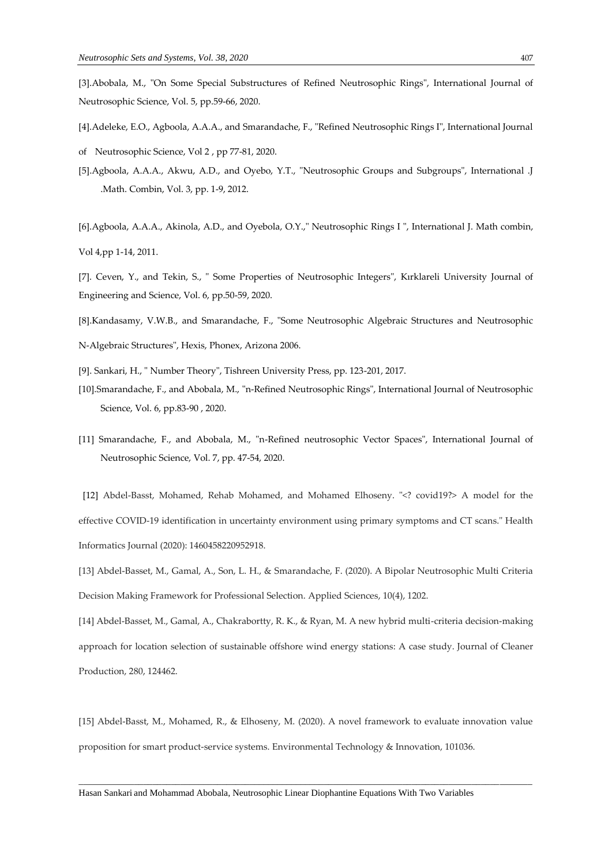[3].Abobala, M., "On Some Special Substructures of Refined Neutrosophic Rings", International Journal of Neutrosophic Science, Vol. 5, pp.59-66, 2020.

- [4].Adeleke, E.O., Agboola, A.A.A., and Smarandache, F., "Refined Neutrosophic Rings I", International Journal
- of Neutrosophic Science, Vol 2 , pp 77-81, 2020.
- [5].Agboola, A.A.A., Akwu, A.D., and Oyebo, Y.T., "Neutrosophic Groups and Subgroups", International .J .Math. Combin, Vol. 3, pp. 1-9, 2012.
- [6].Agboola, A.A.A., Akinola, A.D., and Oyebola, O.Y.," Neutrosophic Rings I ", International J. Math combin, Vol 4,pp 1-14, 2011.
- [7]. Ceven, Y., and Tekin, S., " Some Properties of Neutrosophic Integers", Kırklareli University Journal of Engineering and Science, Vol. 6, pp.50-59, 2020.
- [8].Kandasamy, V.W.B., and Smarandache, F., "Some Neutrosophic Algebraic Structures and Neutrosophic
- N-Algebraic Structures", Hexis, Phonex, Arizona 2006.
- [9]. Sankari, H., " Number Theory", Tishreen University Press, pp. 123-201, 2017.
- [10].Smarandache, F., and Abobala, M., "n-Refined Neutrosophic Rings", International Journal of Neutrosophic Science, Vol. 6, pp.83-90 , 2020.
- [11] Smarandache, F., and Abobala, M., "n-Refined neutrosophic Vector Spaces", International Journal of Neutrosophic Science, Vol. 7, pp. 47-54, 2020.

[12] Abdel-Basst, Mohamed, Rehab Mohamed, and Mohamed Elhoseny. "<? covid19?> A model for the effective COVID-19 identification in uncertainty environment using primary symptoms and CT scans." Health Informatics Journal (2020): 1460458220952918.

[13] Abdel-Basset, M., Gamal, A., Son, L. H., & Smarandache, F. (2020). A Bipolar Neutrosophic Multi Criteria Decision Making Framework for Professional Selection. Applied Sciences, 10(4), 1202.

[14] Abdel-Basset, M., Gamal, A., Chakrabortty, R. K., & Ryan, M. A new hybrid multi-criteria decision-making approach for location selection of sustainable offshore wind energy stations: A case study. Journal of Cleaner Production, 280, 124462.

[15] Abdel-Basst, M., Mohamed, R., & Elhoseny, M. (2020). A novel framework to evaluate innovation value proposition for smart product-service systems. Environmental Technology & Innovation, 101036.